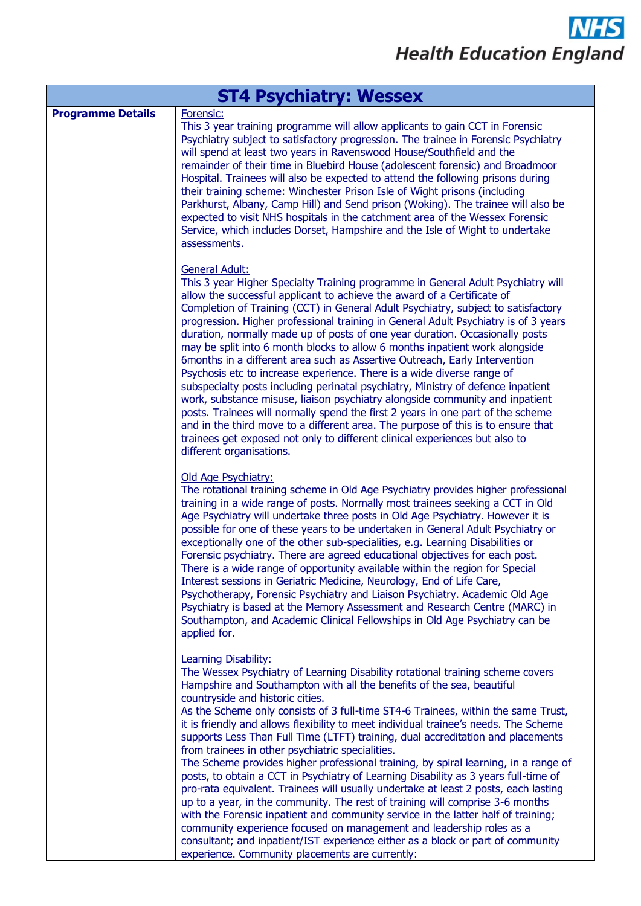| <b>ST4 Psychiatry: Wessex</b> |                                                                                                                                                                                                                                                                                                                                                                                                                                                                                                                                                                                                                                                                                                                                                                                                                                                                                                                                                                                                                                                                                                                                                                                                  |
|-------------------------------|--------------------------------------------------------------------------------------------------------------------------------------------------------------------------------------------------------------------------------------------------------------------------------------------------------------------------------------------------------------------------------------------------------------------------------------------------------------------------------------------------------------------------------------------------------------------------------------------------------------------------------------------------------------------------------------------------------------------------------------------------------------------------------------------------------------------------------------------------------------------------------------------------------------------------------------------------------------------------------------------------------------------------------------------------------------------------------------------------------------------------------------------------------------------------------------------------|
| <b>Programme Details</b>      | Forensic:<br>This 3 year training programme will allow applicants to gain CCT in Forensic<br>Psychiatry subject to satisfactory progression. The trainee in Forensic Psychiatry<br>will spend at least two years in Ravenswood House/Southfield and the<br>remainder of their time in Bluebird House (adolescent forensic) and Broadmoor<br>Hospital. Trainees will also be expected to attend the following prisons during<br>their training scheme: Winchester Prison Isle of Wight prisons (including<br>Parkhurst, Albany, Camp Hill) and Send prison (Woking). The trainee will also be<br>expected to visit NHS hospitals in the catchment area of the Wessex Forensic<br>Service, which includes Dorset, Hampshire and the Isle of Wight to undertake<br>assessments.                                                                                                                                                                                                                                                                                                                                                                                                                     |
|                               | <b>General Adult:</b><br>This 3 year Higher Specialty Training programme in General Adult Psychiatry will<br>allow the successful applicant to achieve the award of a Certificate of<br>Completion of Training (CCT) in General Adult Psychiatry, subject to satisfactory<br>progression. Higher professional training in General Adult Psychiatry is of 3 years<br>duration, normally made up of posts of one year duration. Occasionally posts<br>may be split into 6 month blocks to allow 6 months inpatient work alongside<br>6months in a different area such as Assertive Outreach, Early Intervention<br>Psychosis etc to increase experience. There is a wide diverse range of<br>subspecialty posts including perinatal psychiatry, Ministry of defence inpatient<br>work, substance misuse, liaison psychiatry alongside community and inpatient<br>posts. Trainees will normally spend the first 2 years in one part of the scheme<br>and in the third move to a different area. The purpose of this is to ensure that<br>trainees get exposed not only to different clinical experiences but also to<br>different organisations.                                                    |
|                               | Old Age Psychiatry:<br>The rotational training scheme in Old Age Psychiatry provides higher professional<br>training in a wide range of posts. Normally most trainees seeking a CCT in Old<br>Age Psychiatry will undertake three posts in Old Age Psychiatry. However it is<br>possible for one of these years to be undertaken in General Adult Psychiatry or<br>exceptionally one of the other sub-specialities, e.g. Learning Disabilities or<br>Forensic psychiatry. There are agreed educational objectives for each post.<br>There is a wide range of opportunity available within the region for Special<br>Interest sessions in Geriatric Medicine, Neurology, End of Life Care,<br>Psychotherapy, Forensic Psychiatry and Liaison Psychiatry. Academic Old Age<br>Psychiatry is based at the Memory Assessment and Research Centre (MARC) in<br>Southampton, and Academic Clinical Fellowships in Old Age Psychiatry can be<br>applied for.                                                                                                                                                                                                                                            |
|                               | Learning Disability:<br>The Wessex Psychiatry of Learning Disability rotational training scheme covers<br>Hampshire and Southampton with all the benefits of the sea, beautiful<br>countryside and historic cities.<br>As the Scheme only consists of 3 full-time ST4-6 Trainees, within the same Trust,<br>it is friendly and allows flexibility to meet individual trainee's needs. The Scheme<br>supports Less Than Full Time (LTFT) training, dual accreditation and placements<br>from trainees in other psychiatric specialities.<br>The Scheme provides higher professional training, by spiral learning, in a range of<br>posts, to obtain a CCT in Psychiatry of Learning Disability as 3 years full-time of<br>pro-rata equivalent. Trainees will usually undertake at least 2 posts, each lasting<br>up to a year, in the community. The rest of training will comprise 3-6 months<br>with the Forensic inpatient and community service in the latter half of training;<br>community experience focused on management and leadership roles as a<br>consultant; and inpatient/IST experience either as a block or part of community<br>experience. Community placements are currently: |